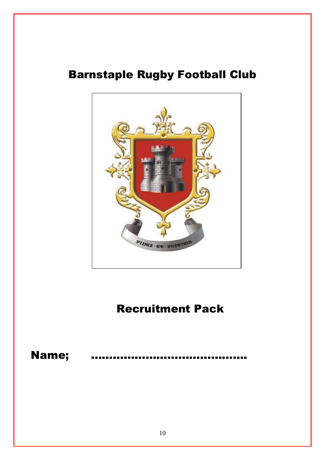## Barnstaple Rugby Football Club



# Recruitment Pack

## Name;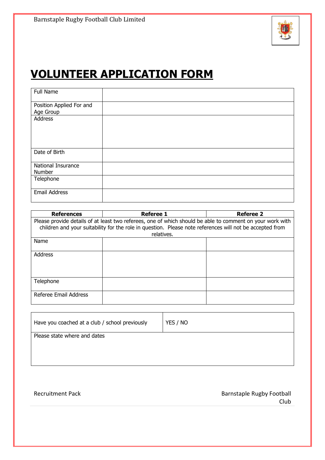

# **VOLUNTEER APPLICATION FORM**

| Full Name                             |  |
|---------------------------------------|--|
| Position Applied For and<br>Age Group |  |
| Address                               |  |
| Date of Birth                         |  |
| National Insurance<br>Number          |  |
| Telephone                             |  |
| <b>Email Address</b>                  |  |

| <b>References</b>                                                                                                                                                                                                                   | <b>Referee 1</b> | <b>Referee 2</b> |  |
|-------------------------------------------------------------------------------------------------------------------------------------------------------------------------------------------------------------------------------------|------------------|------------------|--|
| Please provide details of at least two referees, one of which should be able to comment on your work with<br>children and your suitability for the role in question. Please note references will not be accepted from<br>relatives. |                  |                  |  |
| Name                                                                                                                                                                                                                                |                  |                  |  |
| <b>Address</b>                                                                                                                                                                                                                      |                  |                  |  |
| Telephone                                                                                                                                                                                                                           |                  |                  |  |
| Referee Email Address                                                                                                                                                                                                               |                  |                  |  |

| Have you coached at a club / school previously | YES / NO |
|------------------------------------------------|----------|
| Please state where and dates                   |          |
|                                                |          |
|                                                |          |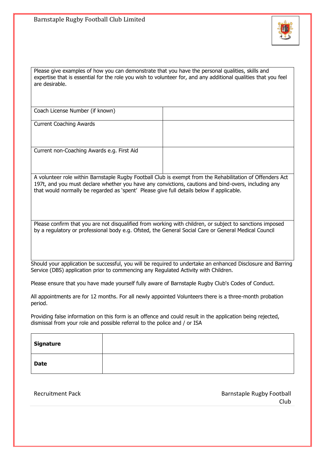

Please give examples of how you can demonstrate that you have the personal qualities, skills and expertise that is essential for the role you wish to volunteer for, and any additional qualities that you feel are desirable.

Coach License Number (if known)

Current Coaching Awards

Current non-Coaching Awards e.g. First Aid

A volunteer role within Barnstaple Rugby Football Club is exempt from the Rehabilitation of Offenders Act 197t, and you must declare whether you have any convictions, cautions and bind-overs, including any that would normally be regarded as 'spent' Please give full details below if applicable.

Please confirm that you are not disqualified from working with children, or subject to sanctions imposed by a regulatory or professional body e.g. Ofsted, the General Social Care or General Medical Council

Should your application be successful, you will be required to undertake an enhanced Disclosure and Barring Service (DBS) application prior to commencing any Regulated Activity with Children.

Please ensure that you have made yourself fully aware of Barnstaple Rugby Club's Codes of Conduct.

All appointments are for 12 months. For all newly appointed Volunteers there is a three-month probation period.

Providing false information on this form is an offence and could result in the application being rejected, dismissal from your role and possible referral to the police and / or ISA

| Signature   |  |
|-------------|--|
| <b>Date</b> |  |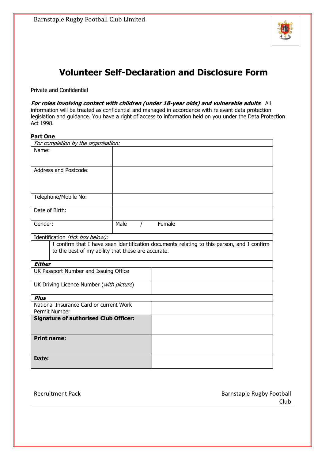

### **Volunteer Self-Declaration and Disclosure Form**

Private and Confidential

**For roles involving contact with children (under 18-year olds) and vulnerable adults** All information will be treated as confidential and managed in accordance with relevant data protection legislation and guidance. You have a right of access to information held on you under the Data Protection Act 1998.

### **Part One**

| For completion by the organisation:                |      |          |        |                                                                                            |
|----------------------------------------------------|------|----------|--------|--------------------------------------------------------------------------------------------|
| Name:                                              |      |          |        |                                                                                            |
|                                                    |      |          |        |                                                                                            |
| <b>Address and Postcode:</b>                       |      |          |        |                                                                                            |
|                                                    |      |          |        |                                                                                            |
|                                                    |      |          |        |                                                                                            |
| Telephone/Mobile No:                               |      |          |        |                                                                                            |
|                                                    |      |          |        |                                                                                            |
| Date of Birth:                                     |      |          |        |                                                                                            |
| Gender:                                            | Male | $\prime$ | Female |                                                                                            |
|                                                    |      |          |        |                                                                                            |
| Identification (tick box below):                   |      |          |        |                                                                                            |
|                                                    |      |          |        | I confirm that I have seen identification documents relating to this person, and I confirm |
| to the best of my ability that these are accurate. |      |          |        |                                                                                            |
|                                                    |      |          |        |                                                                                            |
| <b>Either</b>                                      |      |          |        |                                                                                            |
| UK Passport Number and Issuing Office              |      |          |        |                                                                                            |
|                                                    |      |          |        |                                                                                            |
| UK Driving Licence Number (with picture)           |      |          |        |                                                                                            |
| <b>Plus</b>                                        |      |          |        |                                                                                            |
| National Insurance Card or current Work            |      |          |        |                                                                                            |
| Permit Number                                      |      |          |        |                                                                                            |
| <b>Signature of authorised Club Officer:</b>       |      |          |        |                                                                                            |
|                                                    |      |          |        |                                                                                            |
| <b>Print name:</b>                                 |      |          |        |                                                                                            |
|                                                    |      |          |        |                                                                                            |
| Date:                                              |      |          |        |                                                                                            |
|                                                    |      |          |        |                                                                                            |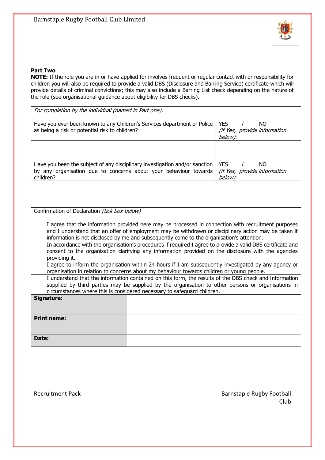

### **Part Two**

**NOTE:** If the role you are in or have applied for involves frequent or regular contact with or responsibility for children you will also be required to provide a valid DBS (Disclosure and Barring Service) certificate which will provide details of criminal convictions; this may also include a Barring List check depending on the nature of the role (see organisational guidance about eligibility for DBS checks).

| For completion by the individual (named in Part one):                                                                                                                                                                                                                                   |                                                                                                                                                                                                                                                                                                          |                                                                    |  |  |
|-----------------------------------------------------------------------------------------------------------------------------------------------------------------------------------------------------------------------------------------------------------------------------------------|----------------------------------------------------------------------------------------------------------------------------------------------------------------------------------------------------------------------------------------------------------------------------------------------------------|--------------------------------------------------------------------|--|--|
| Have you ever been known to any Children's Services department or Police<br>as being a risk or potential risk to children?                                                                                                                                                              | <b>YES</b><br><b>NO</b><br>(if Yes, provide information<br>below):                                                                                                                                                                                                                                       |                                                                    |  |  |
|                                                                                                                                                                                                                                                                                         |                                                                                                                                                                                                                                                                                                          |                                                                    |  |  |
| Have you been the subject of any disciplinary investigation and/or sanction<br>by any organisation due to concerns about your behaviour towards<br>children?                                                                                                                            |                                                                                                                                                                                                                                                                                                          | <b>YES</b><br><b>NO</b><br>(if Yes, provide information<br>below): |  |  |
|                                                                                                                                                                                                                                                                                         |                                                                                                                                                                                                                                                                                                          |                                                                    |  |  |
| Confirmation of Declaration (tick box below)                                                                                                                                                                                                                                            |                                                                                                                                                                                                                                                                                                          |                                                                    |  |  |
|                                                                                                                                                                                                                                                                                         | I agree that the information provided here may be processed in connection with recruitment purposes<br>and I understand that an offer of employment may be withdrawn or disciplinary action may be taken if<br>information is not disclosed by me and subsequently come to the organisation's attention. |                                                                    |  |  |
| In accordance with the organisation's procedures if required I agree to provide a valid DBS certificate and<br>consent to the organisation clarifying any information provided on the disclosure with the agencies<br>providing it.                                                     |                                                                                                                                                                                                                                                                                                          |                                                                    |  |  |
| I agree to inform the organisation within 24 hours if I am subsequently investigated by any agency or<br>organisation in relation to concerns about my behaviour towards children or young people.                                                                                      |                                                                                                                                                                                                                                                                                                          |                                                                    |  |  |
| I understand that the information contained on this form, the results of the DBS check and information<br>supplied by third parties may be supplied by the organisation to other persons or organisations in<br>circumstances where this is considered necessary to safeguard children. |                                                                                                                                                                                                                                                                                                          |                                                                    |  |  |
| <b>Signature:</b>                                                                                                                                                                                                                                                                       |                                                                                                                                                                                                                                                                                                          |                                                                    |  |  |
| <b>Print name:</b>                                                                                                                                                                                                                                                                      |                                                                                                                                                                                                                                                                                                          |                                                                    |  |  |
| Date:                                                                                                                                                                                                                                                                                   |                                                                                                                                                                                                                                                                                                          |                                                                    |  |  |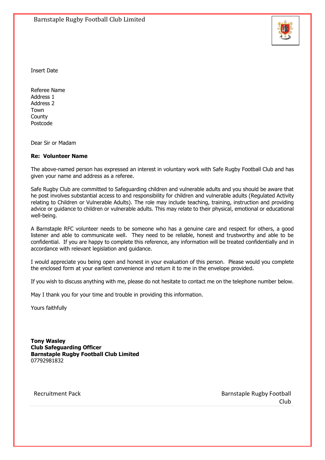

Insert Date

Referee Name Address 1 Address 2 Town **County** Postcode

Dear Sir or Madam

### **Re: Volunteer Name**

The above-named person has expressed an interest in voluntary work with Safe Rugby Football Club and has given your name and address as a referee.

Safe Rugby Club are committed to Safeguarding children and vulnerable adults and you should be aware that he post involves substantial access to and responsibility for children and vulnerable adults (Regulated Activity relating to Children or Vulnerable Adults). The role may include teaching, training, instruction and providing advice or guidance to children or vulnerable adults. This may relate to their physical, emotional or educational well-being.

A Barnstaple RFC volunteer needs to be someone who has a genuine care and respect for others, a good listener and able to communicate well. They need to be reliable, honest and trustworthy and able to be confidential. If you are happy to complete this reference, any information will be treated confidentially and in accordance with relevant legislation and guidance.

I would appreciate you being open and honest in your evaluation of this person. Please would you complete the enclosed form at your earliest convenience and return it to me in the envelope provided.

If you wish to discuss anything with me, please do not hesitate to contact me on the telephone number below.

May I thank you for your time and trouble in providing this information.

Yours faithfully

**Tony Wasley Club Safeguarding Officer Barnstaple Rugby Football Club Limited** 07792981832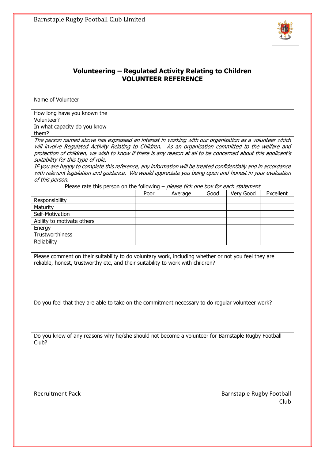

### **Volunteering – Regulated Activity Relating to Children VOLUNTEER REFERENCE**

| Name of Volunteer                                                                                                                                                                                                         |  |      |         |      |           |           |
|---------------------------------------------------------------------------------------------------------------------------------------------------------------------------------------------------------------------------|--|------|---------|------|-----------|-----------|
| How long have you known the<br>Volunteer?                                                                                                                                                                                 |  |      |         |      |           |           |
| In what capacity do you know<br>them?                                                                                                                                                                                     |  |      |         |      |           |           |
| The person named above has expressed an interest in working with our organisation as a volunteer which<br>will involve Regulated Activity Relating to Children. As an organisation committed to the welfare and           |  |      |         |      |           |           |
| protection of children, we wish to know if there is any reason at all to be concerned about this applicant's<br>suitability for this type of role.                                                                        |  |      |         |      |           |           |
| IF you are happy to complete this reference, any information will be treated confidentially and in accordance<br>with relevant legislation and guidance. We would appreciate you being open and honest in your evaluation |  |      |         |      |           |           |
| of this person.                                                                                                                                                                                                           |  |      |         |      |           |           |
| Please rate this person on the following $-$ please tick one box for each statement                                                                                                                                       |  |      |         |      |           |           |
|                                                                                                                                                                                                                           |  | Poor | Average | Good | Very Good | Excellent |
| Responsibility                                                                                                                                                                                                            |  |      |         |      |           |           |
| Maturity                                                                                                                                                                                                                  |  |      |         |      |           |           |
| Self-Motivation                                                                                                                                                                                                           |  |      |         |      |           |           |
| Ability to motivate others                                                                                                                                                                                                |  |      |         |      |           |           |
| Energy                                                                                                                                                                                                                    |  |      |         |      |           |           |
| Trustworthiness                                                                                                                                                                                                           |  |      |         |      |           |           |
| Reliability                                                                                                                                                                                                               |  |      |         |      |           |           |
| Please comment on their suitability to do voluntary work, including whether or not you feel they are<br>reliable, honest, trustworthy etc, and their suitability to work with children?                                   |  |      |         |      |           |           |
| Do you feel that they are able to take on the commitment necessary to do regular volunteer work?                                                                                                                          |  |      |         |      |           |           |

Do you know of any reasons why he/she should not become a volunteer for Barnstaple Rugby Football Club?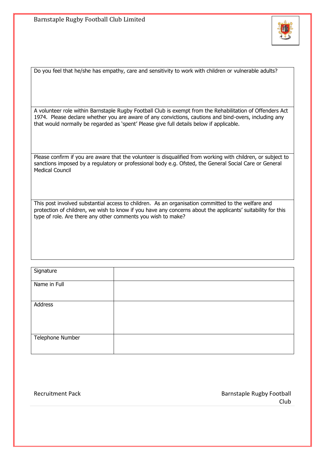

Do you feel that he/she has empathy, care and sensitivity to work with children or vulnerable adults?

A volunteer role within Barnstaple Rugby Football Club is exempt from the Rehabilitation of Offenders Act 1974. Please declare whether you are aware of any convictions, cautions and bind-overs, including any that would normally be regarded as 'spent' Please give full details below if applicable.

Please confirm if you are aware that the volunteer is disqualified from working with children, or subject to sanctions imposed by a regulatory or professional body e.g. Ofsted, the General Social Care or General Medical Council

This post involved substantial access to children. As an organisation committed to the welfare and protection of children, we wish to know if you have any concerns about the applicants' suitability for this type of role. Are there any other comments you wish to make?

| Signature        |  |
|------------------|--|
| Name in Full     |  |
| Address          |  |
| Telephone Number |  |